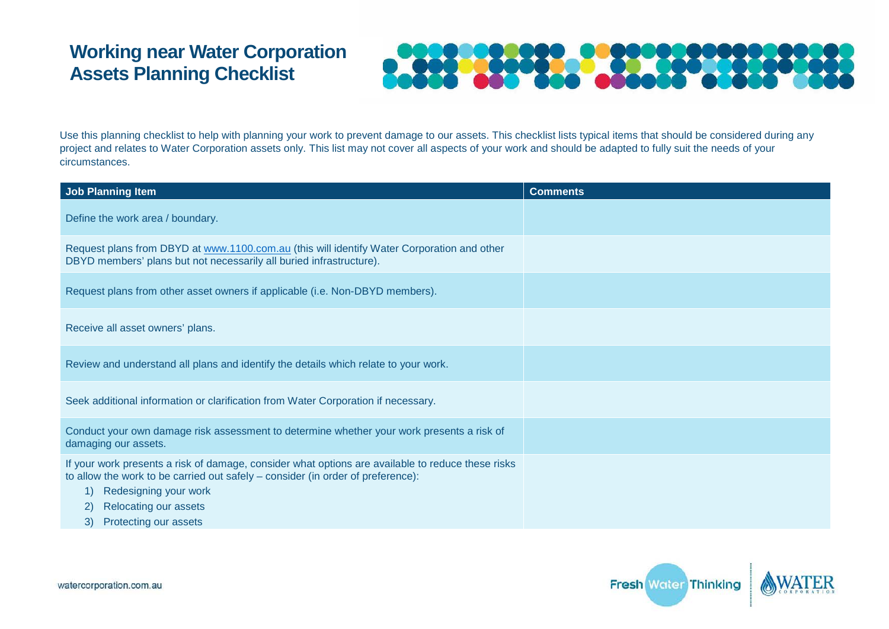## **Working near Water Corporation Assets Planning Checklist**



Use this planning checklist to help with planning your work to prevent damage to our assets. This checklist lists typical items that should be considered during any project and relates to Water Corporation assets only. This list may not cover all aspects of your work and should be adapted to fully suit the needs of your circumstances.

| <b>Job Planning Item</b>                                                                                                                                                                                                                                                                 | <b>Comments</b> |
|------------------------------------------------------------------------------------------------------------------------------------------------------------------------------------------------------------------------------------------------------------------------------------------|-----------------|
| Define the work area / boundary.                                                                                                                                                                                                                                                         |                 |
| Request plans from DBYD at www.1100.com.au (this will identify Water Corporation and other<br>DBYD members' plans but not necessarily all buried infrastructure).                                                                                                                        |                 |
| Request plans from other asset owners if applicable (i.e. Non-DBYD members).                                                                                                                                                                                                             |                 |
| Receive all asset owners' plans.                                                                                                                                                                                                                                                         |                 |
| Review and understand all plans and identify the details which relate to your work.                                                                                                                                                                                                      |                 |
| Seek additional information or clarification from Water Corporation if necessary.                                                                                                                                                                                                        |                 |
| Conduct your own damage risk assessment to determine whether your work presents a risk of<br>damaging our assets.                                                                                                                                                                        |                 |
| If your work presents a risk of damage, consider what options are available to reduce these risks<br>to allow the work to be carried out safely – consider (in order of preference):<br>Redesigning your work<br>1)<br><b>Relocating our assets</b><br>2)<br>Protecting our assets<br>3) |                 |

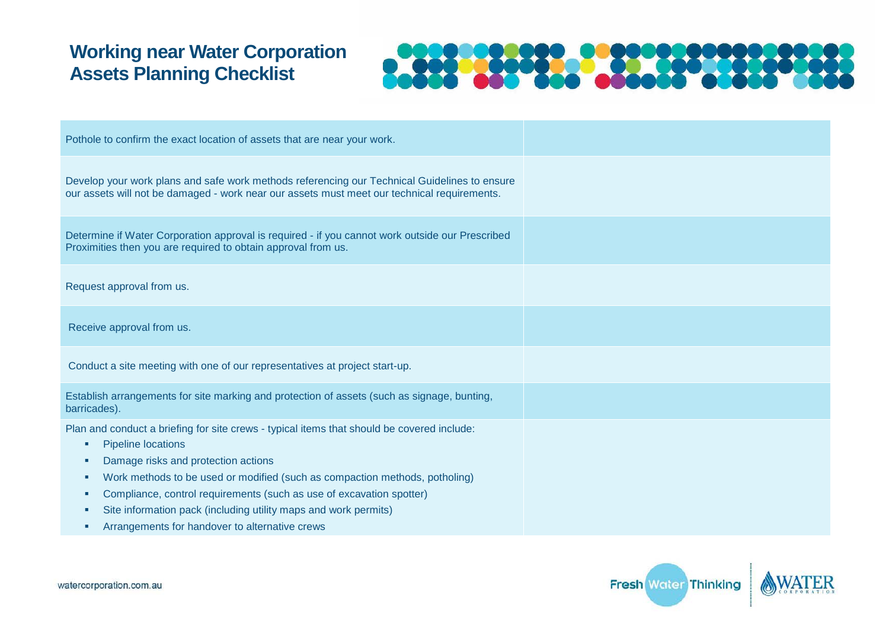## **Working near Water Corporation Assets Planning Checklist**



| Pothole to confirm the exact location of assets that are near your work.                                                                                                                                                                                                                                                                                                                                                                                                    |  |
|-----------------------------------------------------------------------------------------------------------------------------------------------------------------------------------------------------------------------------------------------------------------------------------------------------------------------------------------------------------------------------------------------------------------------------------------------------------------------------|--|
| Develop your work plans and safe work methods referencing our Technical Guidelines to ensure<br>our assets will not be damaged - work near our assets must meet our technical requirements.                                                                                                                                                                                                                                                                                 |  |
| Determine if Water Corporation approval is required - if you cannot work outside our Prescribed<br>Proximities then you are required to obtain approval from us.                                                                                                                                                                                                                                                                                                            |  |
| Request approval from us.                                                                                                                                                                                                                                                                                                                                                                                                                                                   |  |
| Receive approval from us.                                                                                                                                                                                                                                                                                                                                                                                                                                                   |  |
| Conduct a site meeting with one of our representatives at project start-up.                                                                                                                                                                                                                                                                                                                                                                                                 |  |
| Establish arrangements for site marking and protection of assets (such as signage, bunting,<br>barricades).                                                                                                                                                                                                                                                                                                                                                                 |  |
| Plan and conduct a briefing for site crews - typical items that should be covered include:<br><b>Pipeline locations</b><br>٠<br>Damage risks and protection actions<br>ш<br>Work methods to be used or modified (such as compaction methods, potholing)<br>×.<br>Compliance, control requirements (such as use of excavation spotter)<br>ш<br>Site information pack (including utility maps and work permits)<br>×.<br>Arrangements for handover to alternative crews<br>×. |  |